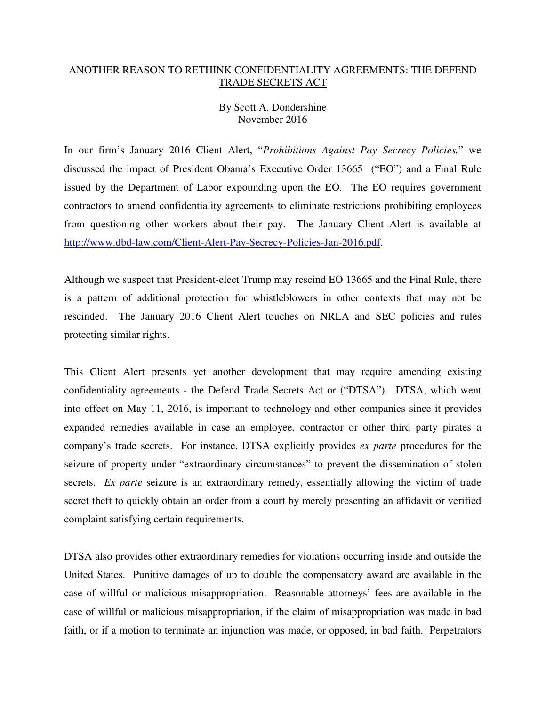## ANOTHER REASON TO RETHINK CONFIDENTIALITY AGREEMENTS: THE DEFEND TRADE SECRETS ACT

## By Scott A. Dondershine November 2016

In our firm's January 2016 Client Alert, "*Prohibitions Against Pay Secrecy Policies,*" we discussed the impact of President Obama's Executive Order 13665 ("EO") and a Final Rule issued by the Department of Labor expounding upon the EO. The EO requires government contractors to amend confidentiality agreements to eliminate restrictions prohibiting employees from questioning other workers about their pay. The January Client Alert is available at http://www.dbd-law.com/Client-Alert-Pay-Secrecy-Policies-Jan-2016.pdf.

Although we suspect that President-elect Trump may rescind EO 13665 and the Final Rule, there is a pattern of additional protection for whistleblowers in other contexts that may not be rescinded. The January 2016 Client Alert touches on NRLA and SEC policies and rules protecting similar rights.

This Client Alert presents yet another development that may require amending existing confidentiality agreements - the Defend Trade Secrets Act or ("DTSA"). DTSA, which went into effect on May 11, 2016, is important to technology and other companies since it provides expanded remedies available in case an employee, contractor or other third party pirates a company's trade secrets. For instance, DTSA explicitly provides *ex parte* procedures for the seizure of property under "extraordinary circumstances" to prevent the dissemination of stolen secrets. *Ex parte* seizure is an extraordinary remedy, essentially allowing the victim of trade secret theft to quickly obtain an order from a court by merely presenting an affidavit or verified complaint satisfying certain requirements.

DTSA also provides other extraordinary remedies for violations occurring inside and outside the United States. Punitive damages of up to double the compensatory award are available in the case of willful or malicious misappropriation. Reasonable attorneys' fees are available in the case of willful or malicious misappropriation, if the claim of misappropriation was made in bad faith, or if a motion to terminate an injunction was made, or opposed, in bad faith. Perpetrators